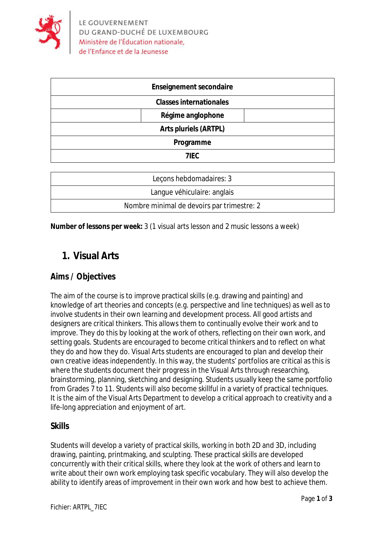

| <b>Enseignement secondaire</b> |
|--------------------------------|
| <b>Classes internationales</b> |
| Régime anglophone              |
| <b>Arts pluriels (ARTPL)</b>   |
| Programme                      |
| 7IEC                           |
|                                |

| Lecons hebdomadaires: 3                    |
|--------------------------------------------|
| Langue véhiculaire: anglais                |
| Nombre minimal de devoirs par trimestre: 2 |

**Number of lessons per week:** 3 (1 visual arts lesson and 2 music lessons a week)

# **1. Visual Arts**

# **Aims / Objectives**

The aim of the course is to improve practical skills (e.g. drawing and painting) and knowledge of art theories and concepts (e.g. perspective and line techniques) as well as to involve students in their own learning and development process. All good artists and designers are critical thinkers. This allows them to continually evolve their work and to improve. They do this by looking at the work of others, reflecting on their own work, and setting goals. Students are encouraged to become critical thinkers and to reflect on what they do and how they do. Visual Arts students are encouraged to plan and develop their own creative ideas independently. In this way, the students' portfolios are critical as this is where the students document their progress in the Visual Arts through researching, brainstorming, planning, sketching and designing. Students usually keep the same portfolio from Grades 7 to 11. Students will also become skillful in a variety of practical techniques. It is the aim of the Visual Arts Department to develop a critical approach to creativity and a life-long appreciation and enjoyment of art.

## **Skills**

Students will develop a variety of practical skills, working in both 2D and 3D, including drawing, painting, printmaking, and sculpting. These practical skills are developed concurrently with their critical skills, where they look at the work of others and learn to write about their own work employing task specific vocabulary. They will also develop the ability to identify areas of improvement in their own work and how best to achieve them.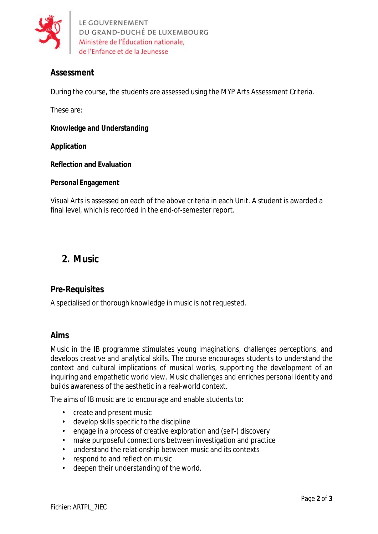

LE GOUVERNEMENT DU GRAND-DUCHÉ DE LUXEMBOURG Ministère de l'Éducation nationale, de l'Enfance et de la Jeunesse

## **Assessment**

During the course, the students are assessed using the MYP Arts Assessment Criteria.

These are:

**Knowledge and Understanding**

#### **Application**

**Reflection and Evaluation**

#### **Personal Engagement**

Visual Arts is assessed on each of the above criteria in each Unit. A student is awarded a final level, which is recorded in the end-of-semester report.

# **2. Music**

## **Pre-Requisites**

A specialised or thorough knowledge in music is not requested.

### **Aims**

Music in the IB programme stimulates young imaginations, challenges perceptions, and develops creative and analytical skills. The course encourages students to understand the context and cultural implications of musical works, supporting the development of an inquiring and empathetic world view. Music challenges and enriches personal identity and builds awareness of the aesthetic in a real-world context.

The aims of IB music are to encourage and enable students to:

- create and present music
- develop skills specific to the discipline
- engage in a process of creative exploration and (self-) discovery
- make purposeful connections between investigation and practice
- understand the relationship between music and its contexts
- respond to and reflect on music
- deepen their understanding of the world.